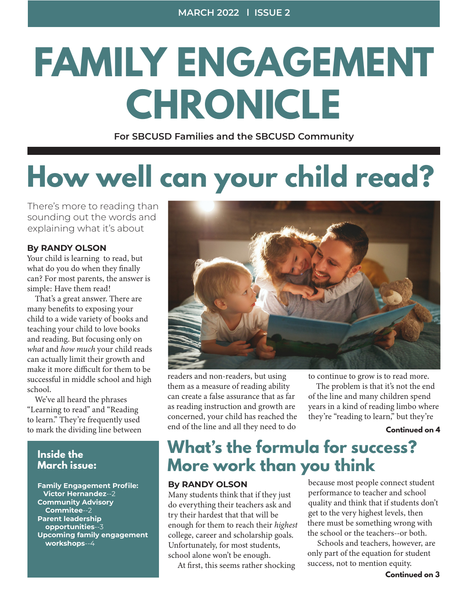# **FAMILY ENGAGEMENT CHRONICLE**

**For SBCUSD Families and the SBCUSD Community**

## **How well can your child read?**

There's more to reading than sounding out the words and explaining what it's about

#### **By RANDY OLSON**

Your child is learning to read, but what do you do when they finally can? For most parents, the answer is simple: Have them read!

 That's a great answer. There are many benefits to exposing your child to a wide variety of books and teaching your child to love books and reading. But focusing only on *what* and *how much* your child reads can actually limit their growth and make it more difficult for them to be successful in middle school and high school.

 We've all heard the phrases "Learning to read" and "Reading to learn." They're frequently used to mark the dividing line between

#### **Inside the March issue:**

**Family Engagement Profile: Victor Hernandez**--2 **Community Advisory Commitee**--2 **Parent leadership opportunities**--3 **Upcoming family engagement workshops**--4



readers and non-readers, but using them as a measure of reading ability can create a false assurance that as far as reading instruction and growth are concerned, your child has reached the end of the line and all they need to do

to continue to grow is to read more.

 The problem is that it's not the end of the line and many children spend years in a kind of reading limbo where they're "reading to learn," but they're

#### **Continued on 4**

### **What's the formula for success? More work than you think**

#### **By RANDY OLSON**

Many students think that if they just do everything their teachers ask and try their hardest that that will be enough for them to reach their *highest* college, career and scholarship goals. Unfortunately, for most students, school alone won't be enough.

At first, this seems rather shocking

because most people connect student performance to teacher and school quality and think that if students don't get to the very highest levels, then there must be something wrong with the school or the teachers--or both.

 Schools and teachers, however, are only part of the equation for student success, not to mention equity.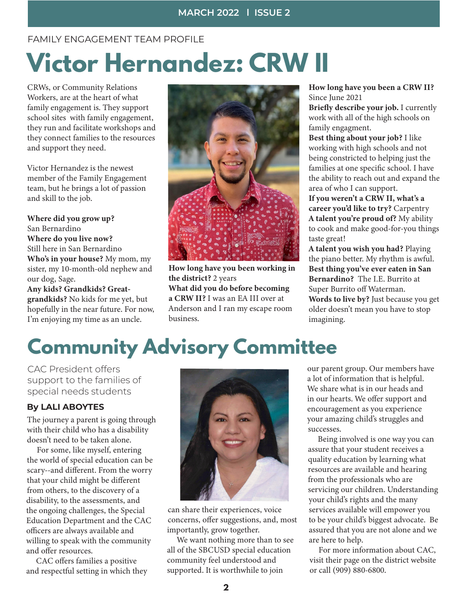#### FAMILY ENGAGEMENT TEAM PROFILE

## **Victor Hernandez: CRW II**

CRWs, or Community Relations Workers, are at the heart of what family engagement is. They support school sites with family engagement, they run and facilitate workshops and they connect families to the resources and support they need.

Victor Hernandez is the newest member of the Family Engagement team, but he brings a lot of passion and skill to the job.

Where did you grow up? San Bernardino Where do you live now? Still here in San Bernardino Who's in your house? My mom, my sister, my 10-month-old nephew and our dog, Sage.

Any kids? Grandkids? Greatgrandkids? No kids for me yet, but hopefully in the near future. For now, I'm enjoying my time as an uncle.



How long have you been working in the district? 2 years What did you do before becoming a CRW II? I was an EA III over at Anderson and I ran my escape room business.

How long have you been a CRW II? Since June 2021

Briefly describe your job. I currently work with all of the high schools on family engagment.

Best thing about your job? I like working with high schools and not being constricted to helping just the families at one specific school. I have the ability to reach out and expand the area of who I can support.

If you weren't a CRW II, what's a career you'd like to try? Carpentry A talent you're proud of? My ability to cook and make good-for-you things taste great!

A talent you wish you had? Playing the piano better. My rhythm is awful. Best thing you've ever eaten in San Bernardino? The I.E. Burrito at Super Burrito off Waterman. Words to live by? Just because you get older doesn't mean you have to stop imagining.

## **Community Advisory Committee**

CAC President offers support to the families of special needs students

#### **By LALI ABOYTES**

The journey a parent is going through with their child who has a disability doesn't need to be taken alone.

 For some, like myself, entering the world of special education can be scary--and different. From the worry that your child might be different from others, to the discovery of a disability, to the assessments, and the ongoing challenges, the Special Education Department and the CAC officers are always available and willing to speak with the community and offer resources.

 CAC offers families a positive and respectful setting in which they



can share their experiences, voice concerns, offer suggestions, and, most importantly, grow together.

 We want nothing more than to see all of the SBCUSD special education community feel understood and supported. It is worthwhile to join

our parent group. Our members have a lot of information that is helpful. We share what is in our heads and in our hearts. We offer support and encouragement as you experience your amazing child's struggles and successes.

 Being involved is one way you can assure that your student receives a quality education by learning what resources are available and hearing from the professionals who are servicing our children. Understanding your child's rights and the many services available will empower you to be your child's biggest advocate. Be assured that you are not alone and we are here to help.

 For more information about CAC, visit their page on the district website or call (909) 880-6800.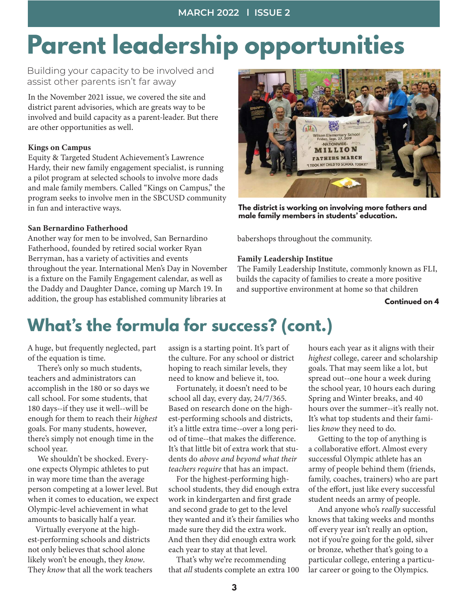## **Parent leadership opportunities**

Building your capacity to be involved and assist other parents isn't far away

In the November 2021 issue, we covered the site and district parent advisories, which are greats way to be involved and build capacity as a parent-leader. But there are other opportunities as well.

#### Kings on Campus

Equity & Targeted Student Achievement's Lawrence Hardy, their new family engagement specialist, is running a pilot program at selected schools to involve more dads and male family members. Called "Kings on Campus," the program seeks to involve men in the SBCUSD community in fun and interactive ways.

#### San Bernardino Fatherhood

Another way for men to be involved, San Bernardino Fatherhood, founded by retired social worker Ryan Berryman, has a variety of activities and events throughout the year. International Men's Day in November is a fixture on the Family Engagement calendar, as well as the Daddy and Daughter Dance, coming up March 19. In addition, the group has established community libraries at



**The district is working on involving more fathers and male family members in students' education.**

babershops throughout the community.

#### Family Leadership Institue

The Family Leadership Institute, commonly known as FLI, builds the capacity of families to create a more positive and supportive environment at home so that children

**Continued on 4**

### **What's the formula for success? (cont.)**

A huge, but frequently neglected, part of the equation is time.

 There's only so much students, teachers and administrators can accomplish in the 180 or so days we call school. For some students, that 180 days--if they use it well--will be enough for them to reach their *highest* goals. For many students, however, there's simply not enough time in the school year.

 We shouldn't be shocked. Everyone expects Olympic athletes to put in way more time than the average person competing at a lower level. But when it comes to education, we expect Olympic-level achievement in what amounts to basically half a year.

 Virtually everyone at the highest-performing schools and districts not only believes that school alone likely won't be enough, they *know*. They *know* that all the work teachers assign is a starting point. It's part of the culture. For any school or district hoping to reach similar levels, they need to know and believe it, too.

 Fortunately, it doesn't need to be school all day, every day, 24/7/365. Based on research done on the highest-performing schools and districts, it's a little extra time--over a long period of time--that makes the difference. It's that little bit of extra work that students do *above and beyond what their teachers require* that has an impact.

 For the highest-performing highschool students, they did enough extra work in kindergarten and first grade and second grade to get to the level they wanted and it's their families who made sure they did the extra work. And then they did enough extra work each year to stay at that level.

 That's why we're recommending that *all* students complete an extra 100 hours each year as it aligns with their *highest* college, career and scholarship goals. That may seem like a lot, but spread out--one hour a week during the school year, 10 hours each during Spring and Winter breaks, and 40 hours over the summer--it's really not. It's what top students and their families *know* they need to do.

 Getting to the top of anything is a collaborative effort. Almost every successful Olympic athlete has an army of people behind them (friends, family, coaches, trainers) who are part of the effort, just like every successful student needs an army of people.

 And anyone who's *really* successful knows that taking weeks and months off every year isn't really an option, not if you're going for the gold, silver or bronze, whether that's going to a particular college, entering a particular career or going to the Olympics.